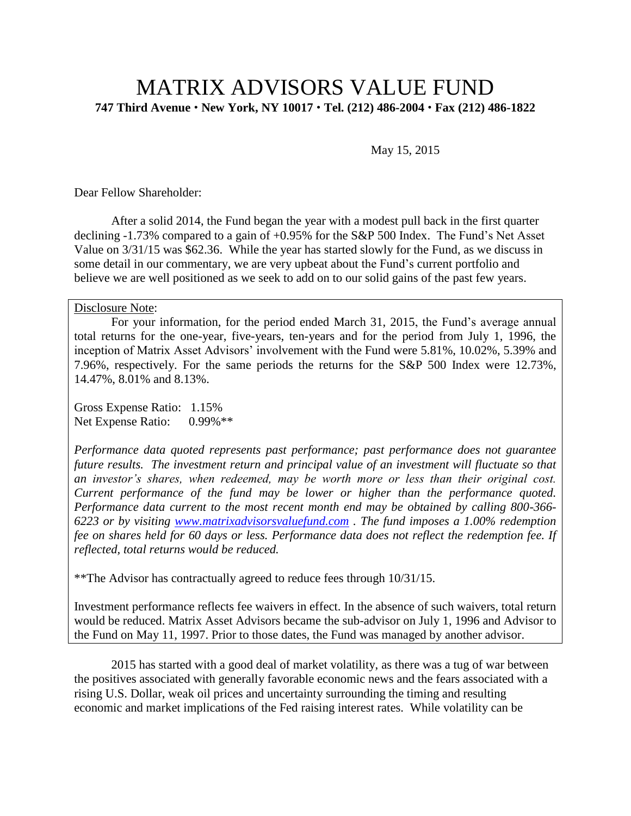## MATRIX ADVISORS VALUE FUND **747 Third Avenue New York, NY 10017 Tel. (212) 486-2004 Fax (212) 486-1822**

May 15, 2015

Dear Fellow Shareholder:

After a solid 2014, the Fund began the year with a modest pull back in the first quarter declining -1.73% compared to a gain of +0.95% for the S&P 500 Index. The Fund's Net Asset Value on 3/31/15 was \$62.36. While the year has started slowly for the Fund, as we discuss in some detail in our commentary, we are very upbeat about the Fund's current portfolio and believe we are well positioned as we seek to add on to our solid gains of the past few years.

Disclosure Note:

For your information, for the period ended March 31, 2015, the Fund's average annual total returns for the one-year, five-years, ten-years and for the period from July 1, 1996, the inception of Matrix Asset Advisors' involvement with the Fund were 5.81%, 10.02%, 5.39% and 7.96%, respectively. For the same periods the returns for the S&P 500 Index were 12.73%, 14.47%, 8.01% and 8.13%.

Gross Expense Ratio: 1.15% Net Expense Ratio: 0.99%\*\*

*Performance data quoted represents past performance; past performance does not guarantee future results. The investment return and principal value of an investment will fluctuate so that an investor's shares, when redeemed, may be worth more or less than their original cost. Current performance of the fund may be lower or higher than the performance quoted. Performance data current to the most recent month end may be obtained by calling 800-366- 6223 or by visiting [www.matrixadvisorsvaluefund.com](http://www.matrixadvisorsvaluefund.com/) . The fund imposes a 1.00% redemption fee on shares held for 60 days or less. Performance data does not reflect the redemption fee. If reflected, total returns would be reduced.*

\*\*The Advisor has contractually agreed to reduce fees through 10/31/15.

Investment performance reflects fee waivers in effect. In the absence of such waivers, total return would be reduced. Matrix Asset Advisors became the sub-advisor on July 1, 1996 and Advisor to the Fund on May 11, 1997. Prior to those dates, the Fund was managed by another advisor.

2015 has started with a good deal of market volatility, as there was a tug of war between the positives associated with generally favorable economic news and the fears associated with a rising U.S. Dollar, weak oil prices and uncertainty surrounding the timing and resulting economic and market implications of the Fed raising interest rates. While volatility can be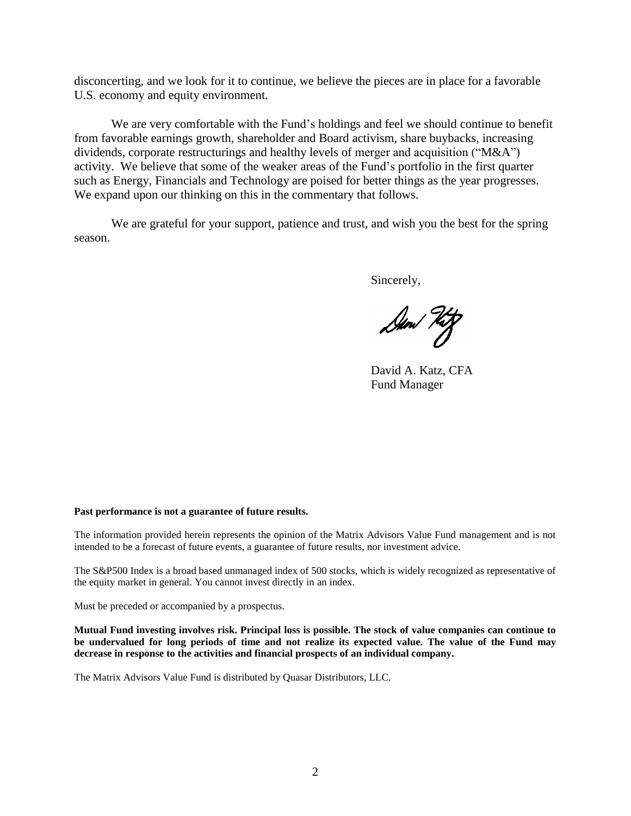disconcerting, and we look for it to continue, we believe the pieces are in place for a favorable U.S. economy and equity environment.

We are very comfortable with the Fund's holdings and feel we should continue to benefit from favorable earnings growth, shareholder and Board activism, share buybacks, increasing dividends, corporate restructurings and healthy levels of merger and acquisition ("M&A") activity. We believe that some of the weaker areas of the Fund's portfolio in the first quarter such as Energy, Financials and Technology are poised for better things as the year progresses. We expand upon our thinking on this in the commentary that follows.

We are grateful for your support, patience and trust, and wish you the best for the spring season.

Sincerely,

Dans Hitz

David A. Katz, CFA Fund Manager

#### **Past performance is not a guarantee of future results.**

The information provided herein represents the opinion of the Matrix Advisors Value Fund management and is not intended to be a forecast of future events, a guarantee of future results, nor investment advice.

The S&P500 Index is a broad based unmanaged index of 500 stocks, which is widely recognized as representative of the equity market in general. You cannot invest directly in an index.

Must be preceded or accompanied by a prospectus.

**Mutual Fund investing involves risk. Principal loss is possible. The stock of value companies can continue to be undervalued for long periods of time and not realize its expected value. The value of the Fund may decrease in response to the activities and financial prospects of an individual company.** 

The Matrix Advisors Value Fund is distributed by Quasar Distributors, LLC.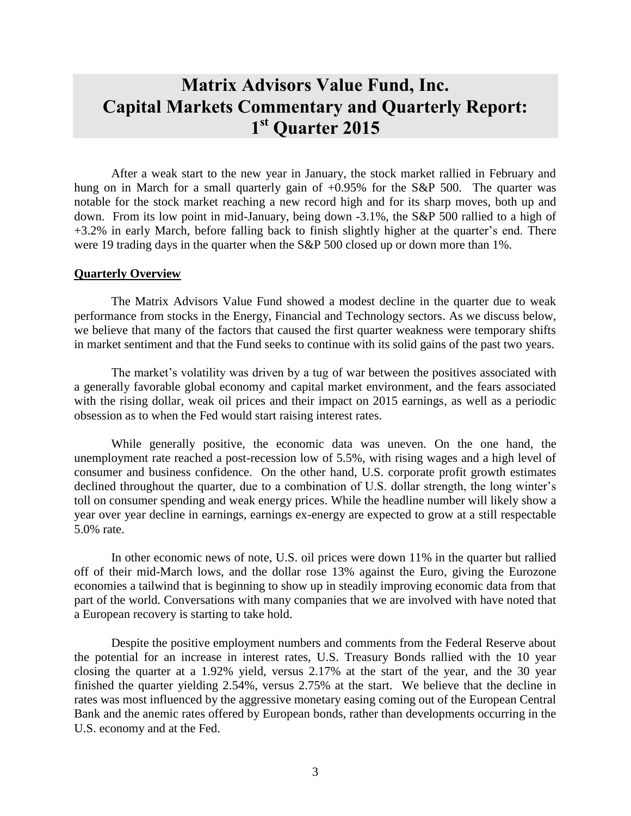# **Matrix Advisors Value Fund, Inc. Capital Markets Commentary and Quarterly Report: 1 st Quarter 2015**

After a weak start to the new year in January, the stock market rallied in February and hung on in March for a small quarterly gain of  $+0.95\%$  for the S&P 500. The quarter was notable for the stock market reaching a new record high and for its sharp moves, both up and down. From its low point in mid-January, being down -3.1%, the S&P 500 rallied to a high of +3.2% in early March, before falling back to finish slightly higher at the quarter's end. There were 19 trading days in the quarter when the S&P 500 closed up or down more than 1%.

#### **Quarterly Overview**

The Matrix Advisors Value Fund showed a modest decline in the quarter due to weak performance from stocks in the Energy, Financial and Technology sectors. As we discuss below, we believe that many of the factors that caused the first quarter weakness were temporary shifts in market sentiment and that the Fund seeks to continue with its solid gains of the past two years.

The market's volatility was driven by a tug of war between the positives associated with a generally favorable global economy and capital market environment, and the fears associated with the rising dollar, weak oil prices and their impact on 2015 earnings, as well as a periodic obsession as to when the Fed would start raising interest rates.

While generally positive, the economic data was uneven. On the one hand, the unemployment rate reached a post-recession low of 5.5%, with rising wages and a high level of consumer and business confidence. On the other hand, U.S. corporate profit growth estimates declined throughout the quarter, due to a combination of U.S. dollar strength, the long winter's toll on consumer spending and weak energy prices. While the headline number will likely show a year over year decline in earnings, earnings ex-energy are expected to grow at a still respectable 5.0% rate.

In other economic news of note, U.S. oil prices were down 11% in the quarter but rallied off of their mid-March lows, and the dollar rose 13% against the Euro, giving the Eurozone economies a tailwind that is beginning to show up in steadily improving economic data from that part of the world. Conversations with many companies that we are involved with have noted that a European recovery is starting to take hold.

Despite the positive employment numbers and comments from the Federal Reserve about the potential for an increase in interest rates, U.S. Treasury Bonds rallied with the 10 year closing the quarter at a 1.92% yield, versus 2.17% at the start of the year, and the 30 year finished the quarter yielding 2.54%, versus 2.75% at the start. We believe that the decline in rates was most influenced by the aggressive monetary easing coming out of the European Central Bank and the anemic rates offered by European bonds, rather than developments occurring in the U.S. economy and at the Fed.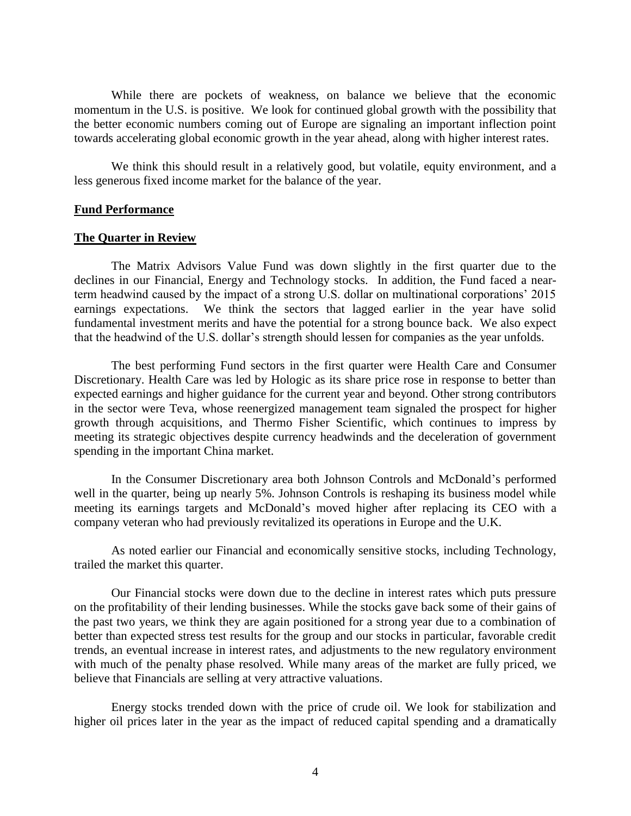While there are pockets of weakness, on balance we believe that the economic momentum in the U.S. is positive. We look for continued global growth with the possibility that the better economic numbers coming out of Europe are signaling an important inflection point towards accelerating global economic growth in the year ahead, along with higher interest rates.

We think this should result in a relatively good, but volatile, equity environment, and a less generous fixed income market for the balance of the year.

#### **Fund Performance**

#### **The Quarter in Review**

The Matrix Advisors Value Fund was down slightly in the first quarter due to the declines in our Financial, Energy and Technology stocks. In addition, the Fund faced a nearterm headwind caused by the impact of a strong U.S. dollar on multinational corporations' 2015 earnings expectations. We think the sectors that lagged earlier in the year have solid fundamental investment merits and have the potential for a strong bounce back. We also expect that the headwind of the U.S. dollar's strength should lessen for companies as the year unfolds.

The best performing Fund sectors in the first quarter were Health Care and Consumer Discretionary. Health Care was led by Hologic as its share price rose in response to better than expected earnings and higher guidance for the current year and beyond. Other strong contributors in the sector were Teva, whose reenergized management team signaled the prospect for higher growth through acquisitions, and Thermo Fisher Scientific, which continues to impress by meeting its strategic objectives despite currency headwinds and the deceleration of government spending in the important China market.

In the Consumer Discretionary area both Johnson Controls and McDonald's performed well in the quarter, being up nearly 5%. Johnson Controls is reshaping its business model while meeting its earnings targets and McDonald's moved higher after replacing its CEO with a company veteran who had previously revitalized its operations in Europe and the U.K.

As noted earlier our Financial and economically sensitive stocks, including Technology, trailed the market this quarter.

Our Financial stocks were down due to the decline in interest rates which puts pressure on the profitability of their lending businesses. While the stocks gave back some of their gains of the past two years, we think they are again positioned for a strong year due to a combination of better than expected stress test results for the group and our stocks in particular, favorable credit trends, an eventual increase in interest rates, and adjustments to the new regulatory environment with much of the penalty phase resolved. While many areas of the market are fully priced, we believe that Financials are selling at very attractive valuations.

Energy stocks trended down with the price of crude oil. We look for stabilization and higher oil prices later in the year as the impact of reduced capital spending and a dramatically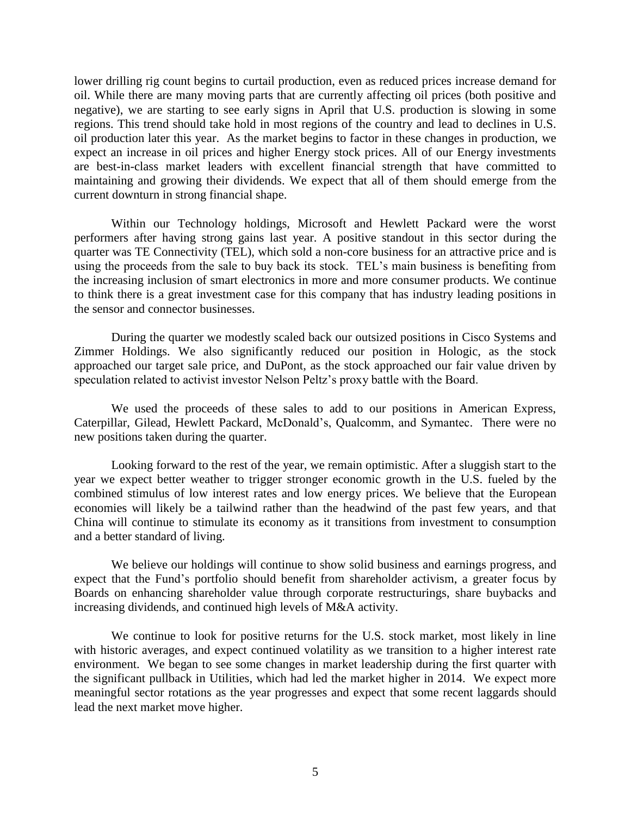lower drilling rig count begins to curtail production, even as reduced prices increase demand for oil. While there are many moving parts that are currently affecting oil prices (both positive and negative), we are starting to see early signs in April that U.S. production is slowing in some regions. This trend should take hold in most regions of the country and lead to declines in U.S. oil production later this year. As the market begins to factor in these changes in production, we expect an increase in oil prices and higher Energy stock prices. All of our Energy investments are best-in-class market leaders with excellent financial strength that have committed to maintaining and growing their dividends. We expect that all of them should emerge from the current downturn in strong financial shape.

Within our Technology holdings, Microsoft and Hewlett Packard were the worst performers after having strong gains last year. A positive standout in this sector during the quarter was TE Connectivity (TEL), which sold a non-core business for an attractive price and is using the proceeds from the sale to buy back its stock. TEL's main business is benefiting from the increasing inclusion of smart electronics in more and more consumer products. We continue to think there is a great investment case for this company that has industry leading positions in the sensor and connector businesses.

During the quarter we modestly scaled back our outsized positions in Cisco Systems and Zimmer Holdings. We also significantly reduced our position in Hologic, as the stock approached our target sale price, and DuPont, as the stock approached our fair value driven by speculation related to activist investor Nelson Peltz's proxy battle with the Board.

We used the proceeds of these sales to add to our positions in American Express, Caterpillar, Gilead, Hewlett Packard, McDonald's, Qualcomm, and Symantec. There were no new positions taken during the quarter.

Looking forward to the rest of the year, we remain optimistic. After a sluggish start to the year we expect better weather to trigger stronger economic growth in the U.S. fueled by the combined stimulus of low interest rates and low energy prices. We believe that the European economies will likely be a tailwind rather than the headwind of the past few years, and that China will continue to stimulate its economy as it transitions from investment to consumption and a better standard of living.

We believe our holdings will continue to show solid business and earnings progress, and expect that the Fund's portfolio should benefit from shareholder activism, a greater focus by Boards on enhancing shareholder value through corporate restructurings, share buybacks and increasing dividends, and continued high levels of M&A activity.

We continue to look for positive returns for the U.S. stock market, most likely in line with historic averages, and expect continued volatility as we transition to a higher interest rate environment. We began to see some changes in market leadership during the first quarter with the significant pullback in Utilities, which had led the market higher in 2014. We expect more meaningful sector rotations as the year progresses and expect that some recent laggards should lead the next market move higher.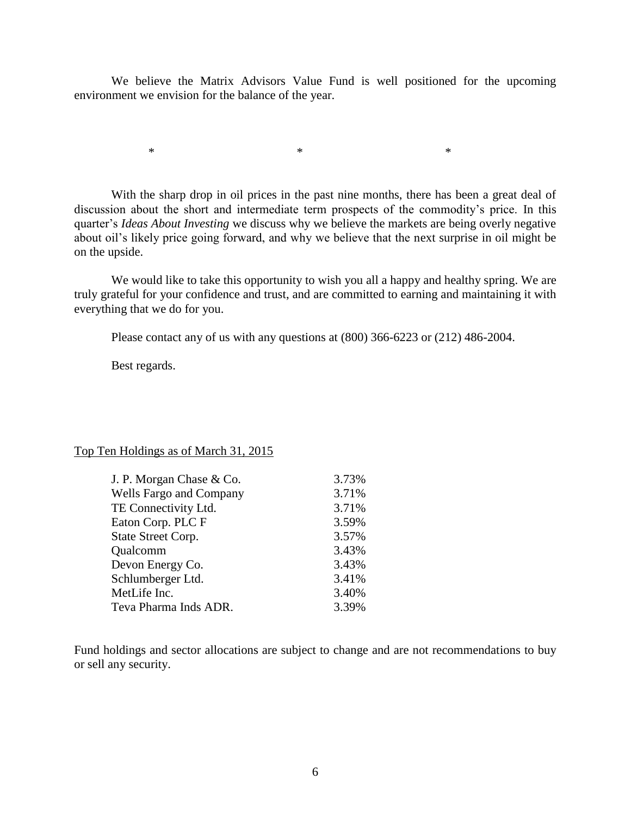We believe the Matrix Advisors Value Fund is well positioned for the upcoming environment we envision for the balance of the year.

 $*$   $*$ 

With the sharp drop in oil prices in the past nine months, there has been a great deal of discussion about the short and intermediate term prospects of the commodity's price. In this quarter's *Ideas About Investing* we discuss why we believe the markets are being overly negative about oil's likely price going forward, and why we believe that the next surprise in oil might be on the upside.

We would like to take this opportunity to wish you all a happy and healthy spring. We are truly grateful for your confidence and trust, and are committed to earning and maintaining it with everything that we do for you.

Please contact any of us with any questions at (800) 366-6223 or (212) 486-2004.

Best regards.

#### Top Ten Holdings as of March 31, 2015

| J. P. Morgan Chase & Co.       | 3.73% |
|--------------------------------|-------|
| <b>Wells Fargo and Company</b> | 3.71% |
| TE Connectivity Ltd.           | 3.71% |
| Eaton Corp. PLC F              | 3.59% |
| <b>State Street Corp.</b>      | 3.57% |
| Qualcomm                       | 3.43% |
| Devon Energy Co.               | 3.43% |
| Schlumberger Ltd.              | 3.41% |
| MetLife Inc.                   | 3.40% |
| Teva Pharma Inds ADR.          | 3.39% |
|                                |       |

Fund holdings and sector allocations are subject to change and are not recommendations to buy or sell any security.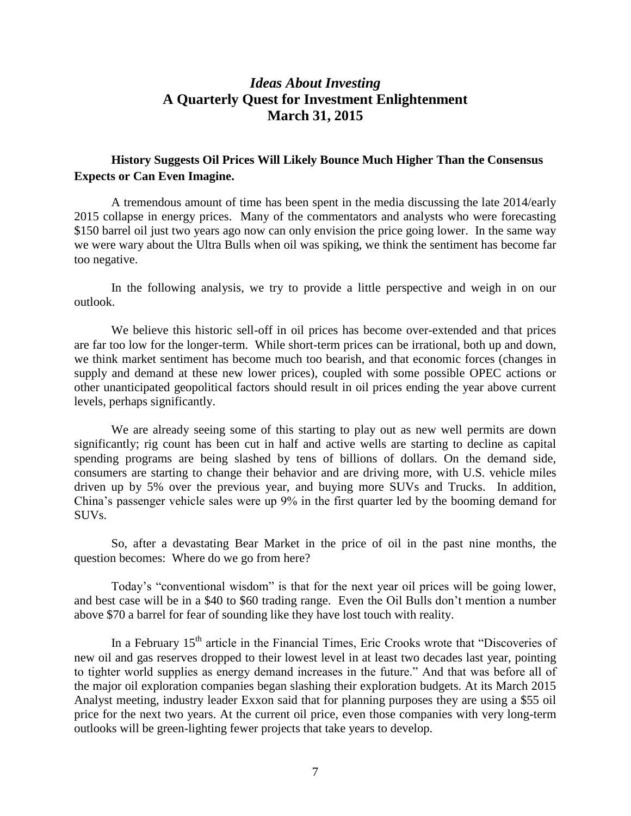## *Ideas About Investing* **A Quarterly Quest for Investment Enlightenment March 31, 2015**

### **History Suggests Oil Prices Will Likely Bounce Much Higher Than the Consensus Expects or Can Even Imagine.**

A tremendous amount of time has been spent in the media discussing the late 2014/early 2015 collapse in energy prices. Many of the commentators and analysts who were forecasting \$150 barrel oil just two years ago now can only envision the price going lower. In the same way we were wary about the Ultra Bulls when oil was spiking, we think the sentiment has become far too negative.

In the following analysis, we try to provide a little perspective and weigh in on our outlook.

We believe this historic sell-off in oil prices has become over-extended and that prices are far too low for the longer-term. While short-term prices can be irrational, both up and down, we think market sentiment has become much too bearish, and that economic forces (changes in supply and demand at these new lower prices), coupled with some possible OPEC actions or other unanticipated geopolitical factors should result in oil prices ending the year above current levels, perhaps significantly.

We are already seeing some of this starting to play out as new well permits are down significantly; rig count has been cut in half and active wells are starting to decline as capital spending programs are being slashed by tens of billions of dollars. On the demand side, consumers are starting to change their behavior and are driving more, with U.S. vehicle miles driven up by 5% over the previous year, and buying more SUVs and Trucks. In addition, China's passenger vehicle sales were up 9% in the first quarter led by the booming demand for SUVs.

So, after a devastating Bear Market in the price of oil in the past nine months, the question becomes: Where do we go from here?

Today's "conventional wisdom" is that for the next year oil prices will be going lower, and best case will be in a \$40 to \$60 trading range. Even the Oil Bulls don't mention a number above \$70 a barrel for fear of sounding like they have lost touch with reality.

In a February 15<sup>th</sup> article in the Financial Times, Eric Crooks wrote that "Discoveries of new oil and gas reserves dropped to their lowest level in at least two decades last year, pointing to tighter world supplies as energy demand increases in the future." And that was before all of the major oil exploration companies began slashing their exploration budgets. At its March 2015 Analyst meeting, industry leader Exxon said that for planning purposes they are using a \$55 oil price for the next two years. At the current oil price, even those companies with very long-term outlooks will be green-lighting fewer projects that take years to develop.